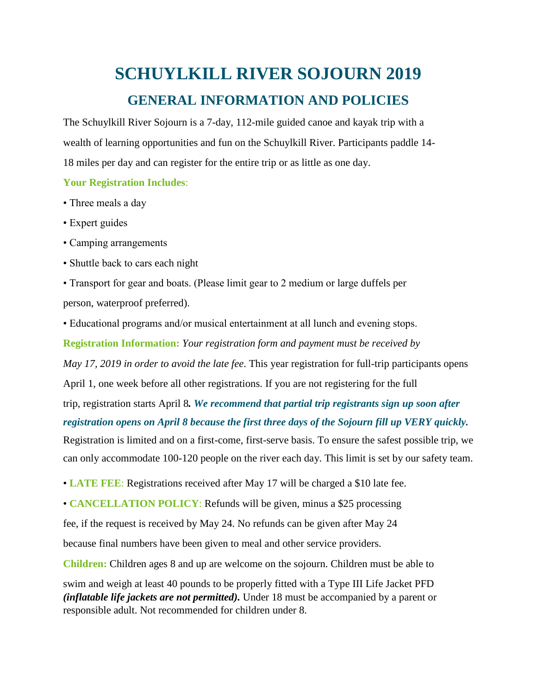## **SCHUYLKILL RIVER SOJOURN 2019 GENERAL INFORMATION AND POLICIES**

The Schuylkill River Sojourn is a 7-day, 112-mile guided canoe and kayak trip with a wealth of learning opportunities and fun on the Schuylkill River. Participants paddle 14- 18 miles per day and can register for the entire trip or as little as one day.

## **Your Registration Includes**:

- Three meals a day
- Expert guides
- Camping arrangements
- Shuttle back to cars each night
- Transport for gear and boats. (Please limit gear to 2 medium or large duffels per person, waterproof preferred).
- Educational programs and/or musical entertainment at all lunch and evening stops.

**Registration Information:** *Your registration form and payment must be received by May 17, 2019 in order to avoid the late fee*. This year registration for full-trip participants opens

April 1, one week before all other registrations. If you are not registering for the full

trip, registration starts April 8*. We recommend that partial trip registrants sign up soon after registration opens on April 8 because the first three days of the Sojourn fill up VERY quickly.*

Registration is limited and on a first-come, first-serve basis. To ensure the safest possible trip, we can only accommodate 100-120 people on the river each day. This limit is set by our safety team.

- **LATE FEE**: Registrations received after May 17 will be charged a \$10 late fee.
- **CANCELLATION POLICY**: Refunds will be given, minus a \$25 processing

fee, if the request is received by May 24. No refunds can be given after May 24

because final numbers have been given to meal and other service providers.

**Children:** Children ages 8 and up are welcome on the sojourn. Children must be able to

swim and weigh at least 40 pounds to be properly fitted with a Type III Life Jacket PFD *(inflatable life jackets are not permitted).* Under 18 must be accompanied by a parent or responsible adult. Not recommended for children under 8.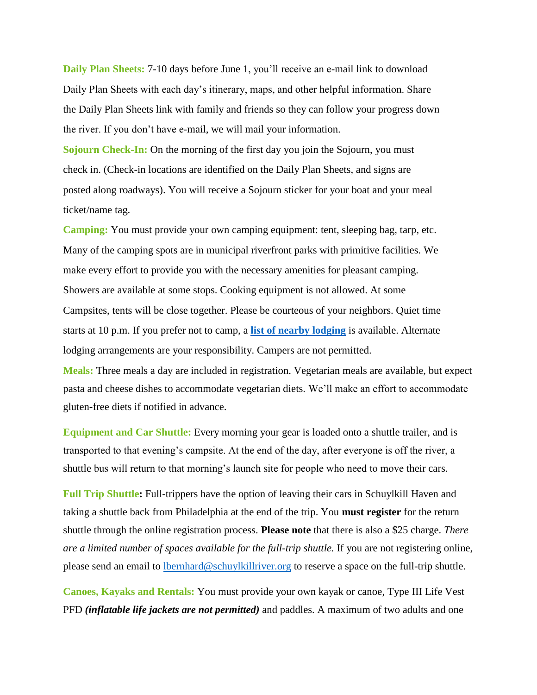**Daily Plan Sheets:** 7-10 days before June 1, you'll receive an e-mail link to download Daily Plan Sheets with each day's itinerary, maps, and other helpful information. Share the Daily Plan Sheets link with family and friends so they can follow your progress down the river. If you don't have e-mail, we will mail your information.

**Sojourn Check-In:** On the morning of the first day you join the Sojourn, you must check in. (Check-in locations are identified on the Daily Plan Sheets, and signs are posted along roadways). You will receive a Sojourn sticker for your boat and your meal ticket/name tag.

**Camping:** You must provide your own camping equipment: tent, sleeping bag, tarp, etc. Many of the camping spots are in municipal riverfront parks with primitive facilities. We make every effort to provide you with the necessary amenities for pleasant camping. Showers are available at some stops. Cooking equipment is not allowed. At some Campsites, tents will be close together. Please be courteous of your neighbors. Quiet time starts at 10 p.m. If you prefer not to camp, a **[list of nearby lodging](https://schuylkillriver.org/wp-content/uploads/2019/03/Sojourn-Lodging-Suggestions.pdf)** is available. Alternate lodging arrangements are your responsibility. Campers are not permitted.

**Meals:** Three meals a day are included in registration. Vegetarian meals are available, but expect pasta and cheese dishes to accommodate vegetarian diets. We'll make an effort to accommodate gluten-free diets if notified in advance.

**Equipment and Car Shuttle:** Every morning your gear is loaded onto a shuttle trailer, and is transported to that evening's campsite. At the end of the day, after everyone is off the river, a shuttle bus will return to that morning's launch site for people who need to move their cars.

**Full Trip Shuttle:** Full-trippers have the option of leaving their cars in Schuylkill Haven and taking a shuttle back from Philadelphia at the end of the trip. You **must register** for the return shuttle through the online registration process. **Please note** that there is also a \$25 charge. *There are a limited number of spaces available for the full-trip shuttle.* If you are not registering online, please send an email to **lbernhard@schuylkillriver.org** to reserve a space on the full-trip shuttle.

**Canoes, Kayaks and Rentals:** You must provide your own kayak or canoe, Type III Life Vest PFD *(inflatable life jackets are not permitted)* and paddles. A maximum of two adults and one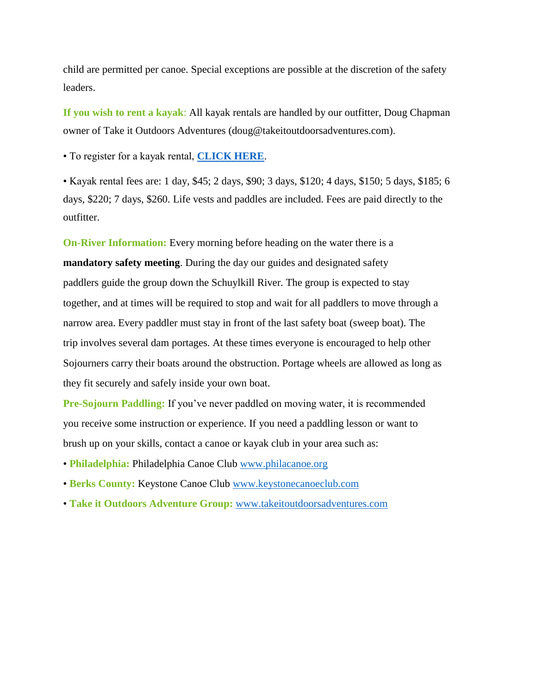child are permitted per canoe. Special exceptions are possible at the discretion of the safety leaders.

**If you wish to rent a kayak**: All kayak rentals are handled by our outfitter, Doug Chapman owner of Take it Outdoors Adventures (doug@takeitoutdoorsadventures.com).

• To register for a kayak rental, **[CLICK HERE](http://events.constantcontact.com/register/event?llr=qnfd7fqab&oeidk=a07eg621bql5139922d)**.

• Kayak rental fees are: 1 day, \$45; 2 days, \$90; 3 days, \$120; 4 days, \$150; 5 days, \$185; 6 days, \$220; 7 days, \$260. Life vests and paddles are included. Fees are paid directly to the outfitter.

**On-River Information:** Every morning before heading on the water there is a **mandatory safety meeting**. During the day our guides and designated safety paddlers guide the group down the Schuylkill River. The group is expected to stay together, and at times will be required to stop and wait for all paddlers to move through a narrow area. Every paddler must stay in front of the last safety boat (sweep boat). The trip involves several dam portages. At these times everyone is encouraged to help other Sojourners carry their boats around the obstruction. Portage wheels are allowed as long as they fit securely and safely inside your own boat.

**Pre-Sojourn Paddling:** If you've never paddled on moving water, it is recommended you receive some instruction or experience. If you need a paddling lesson or want to brush up on your skills, contact a canoe or kayak club in your area such as:

- **Philadelphia:** Philadelphia Canoe Club [www.philacanoe.org](http://www.philacanoe.org/)
- **Berks County:** Keystone Canoe Club [www.keystonecanoeclub.com](http://www.keystonecanoeclub.com/)
- **Take it Outdoors Adventure Group:** [www.takeitoutdoorsadventures.com](http://www.takeitoutdoorsadventures.com/)